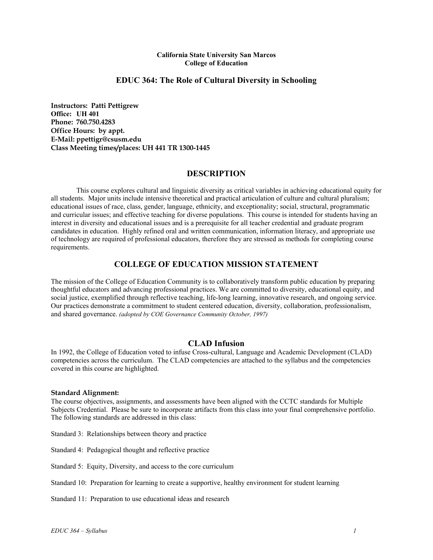#### **California State University San Marcos College of Education**

## **EDUC 364: The Role of Cultural Diversity in Schooling**

**Instructors: Patti Pettigrew Office: UH 401 Phone: 760.750.4283 Office Hours: by appt. E-Mail: ppettigr@csusm.edu Class Meeting times/places: UH 441 TR 1300-1445** 

## **DESCRIPTION**

This course explores cultural and linguistic diversity as critical variables in achieving educational equity for all students. Major units include intensive theoretical and practical articulation of culture and cultural pluralism; educational issues of race, class, gender, language, ethnicity, and exceptionality; social, structural, programmatic and curricular issues; and effective teaching for diverse populations. This course is intended for students having an interest in diversity and educational issues and is a prerequisite for all teacher credential and graduate program candidates in education. Highly refined oral and written communication, information literacy, and appropriate use of technology are required of professional educators, therefore they are stressed as methods for completing course requirements.

# **COLLEGE OF EDUCATION MISSION STATEMENT**

The mission of the College of Education Community is to collaboratively transform public education by preparing thoughtful educators and advancing professional practices. We are committed to diversity, educational equity, and social justice, exemplified through reflective teaching, life-long learning, innovative research, and ongoing service. Our practices demonstrate a commitment to student centered education, diversity, collaboration, professionalism, and shared governance. *(adopted by COE Governance Community October, 1997)*

## **CLAD Infusion**

In 1992, the College of Education voted to infuse Cross-cultural, Language and Academic Development (CLAD) competencies across the curriculum. The CLAD competencies are attached to the syllabus and the competencies covered in this course are highlighted.

#### **Standard Alignment:**

The course objectives, assignments, and assessments have been aligned with the CCTC standards for Multiple Subjects Credential. Please be sure to incorporate artifacts from this class into your final comprehensive portfolio. The following standards are addressed in this class:

Standard 3: Relationships between theory and practice

Standard 4: Pedagogical thought and reflective practice

Standard 5: Equity, Diversity, and access to the core curriculum

Standard 10: Preparation for learning to create a supportive, healthy environment for student learning

Standard 11: Preparation to use educational ideas and research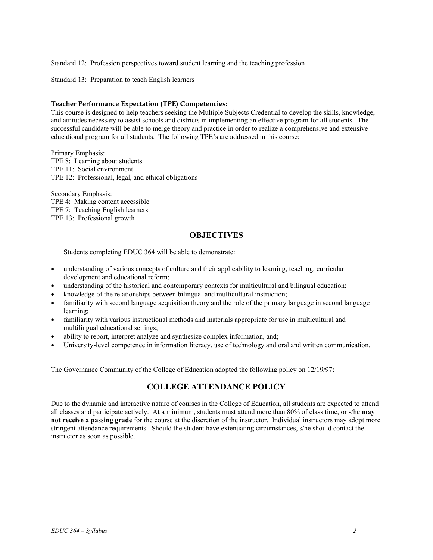Standard 12: Profession perspectives toward student learning and the teaching profession

Standard 13: Preparation to teach English learners

#### **Teacher Performance Expectation (TPE) Competencies:**

This course is designed to help teachers seeking the Multiple Subjects Credential to develop the skills, knowledge, and attitudes necessary to assist schools and districts in implementing an effective program for all students. The successful candidate will be able to merge theory and practice in order to realize a comprehensive and extensive educational program for all students. The following TPE's are addressed in this course:

Primary Emphasis: TPE 8: Learning about students TPE 11: Social environment TPE 12: Professional, legal, and ethical obligations

Secondary Emphasis: TPE 4: Making content accessible TPE 7: Teaching English learners TPE 13: Professional growth

# **OBJECTIVES**

Students completing EDUC 364 will be able to demonstrate:

- understanding of various concepts of culture and their applicability to learning, teaching, curricular development and educational reform;
- understanding of the historical and contemporary contexts for multicultural and bilingual education;
- knowledge of the relationships between bilingual and multicultural instruction;
- familiarity with second language acquisition theory and the role of the primary language in second language learning;
- familiarity with various instructional methods and materials appropriate for use in multicultural and multilingual educational settings;
- ability to report, interpret analyze and synthesize complex information, and;
- University-level competence in information literacy, use of technology and oral and written communication.

The Governance Community of the College of Education adopted the following policy on 12/19/97:

# **COLLEGE ATTENDANCE POLICY**

Due to the dynamic and interactive nature of courses in the College of Education, all students are expected to attend all classes and participate actively. At a minimum, students must attend more than 80% of class time, or s/he **may not receive a passing grade** for the course at the discretion of the instructor. Individual instructors may adopt more stringent attendance requirements. Should the student have extenuating circumstances, s/he should contact the instructor as soon as possible.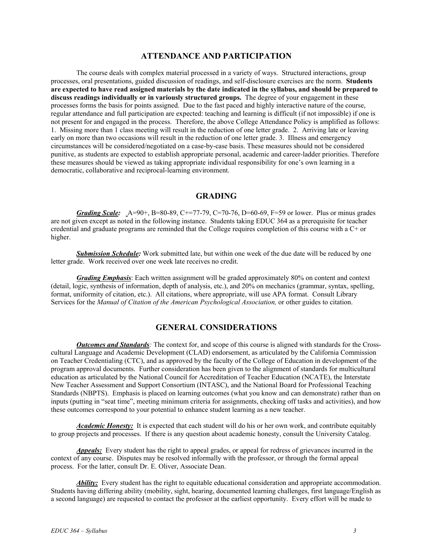### **ATTENDANCE AND PARTICIPATION**

The course deals with complex material processed in a variety of ways. Structured interactions, group processes, oral presentations, guided discussion of readings, and self-disclosure exercises are the norm. **Students are expected to have read assigned materials by the date indicated in the syllabus, and should be prepared to discuss readings individually or in variously structured groups.** The degree of your engagement in these processes forms the basis for points assigned. Due to the fast paced and highly interactive nature of the course, regular attendance and full participation are expected: teaching and learning is difficult (if not impossible) if one is not present for and engaged in the process. Therefore, the above College Attendance Policy is amplified as follows: 1. Missing more than 1 class meeting will result in the reduction of one letter grade. 2. Arriving late or leaving early on more than two occasions will result in the reduction of one letter grade. 3. Illness and emergency circumstances will be considered/negotiated on a case-by-case basis. These measures should not be considered punitive, as students are expected to establish appropriate personal, academic and career-ladder priorities. Therefore these measures should be viewed as taking appropriate individual responsibility for one's own learning in a democratic, collaborative and reciprocal-learning environment.

### **GRADING**

*Grading Scale:* A=90+, B=80-89, C+=77-79, C=70-76, D=60-69, F=59 or lower. Plus or minus grades are not given except as noted in the following instance. Students taking EDUC 364 as a prerequisite for teacher credential and graduate programs are reminded that the College requires completion of this course with a C+ or higher.

*Submission Schedule:* Work submitted late, but within one week of the due date will be reduced by one letter grade. Work received over one week late receives no credit.

*Grading Emphasis*: Each written assignment will be graded approximately 80% on content and context (detail, logic, synthesis of information, depth of analysis, etc.), and 20% on mechanics (grammar, syntax, spelling, format, uniformity of citation, etc.). All citations, where appropriate, will use APA format. Consult Library Services for the *Manual of Citation of the American Psychological Association,* or other guides to citation.

# **GENERAL CONSIDERATIONS**

*Outcomes and Standards:* The context for, and scope of this course is aligned with standards for the Crosscultural Language and Academic Development (CLAD) endorsement, as articulated by the California Commission on Teacher Credentialing (CTC), and as approved by the faculty of the College of Education in development of the program approval documents. Further consideration has been given to the alignment of standards for multicultural education as articulated by the National Council for Accreditation of Teacher Education (NCATE), the Interstate New Teacher Assessment and Support Consortium (INTASC), and the National Board for Professional Teaching Standards (NBPTS). Emphasis is placed on learning outcomes (what you know and can demonstrate) rather than on inputs (putting in "seat time", meeting minimum criteria for assignments, checking off tasks and activities), and how these outcomes correspond to your potential to enhance student learning as a new teacher.

*Academic Honesty:* It is expected that each student will do his or her own work, and contribute equitably to group projects and processes. If there is any question about academic honesty, consult the University Catalog.

*Appeals:* Every student has the right to appeal grades, or appeal for redress of grievances incurred in the context of any course. Disputes may be resolved informally with the professor, or through the formal appeal process. For the latter, consult Dr. E. Oliver, Associate Dean.

*Ability:* Every student has the right to equitable educational consideration and appropriate accommodation. Students having differing ability (mobility, sight, hearing, documented learning challenges, first language/English as a second language) are requested to contact the professor at the earliest opportunity. Every effort will be made to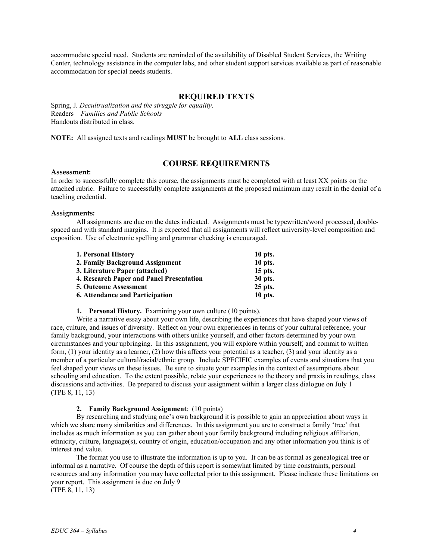accommodate special need. Students are reminded of the availability of Disabled Student Services, the Writing Center, technology assistance in the computer labs, and other student support services available as part of reasonable accommodation for special needs students.

### **REQUIRED TEXTS**

Spring, J*. Decultrualization and the struggle for equality*. Readers – *Families and Public Schools* Handouts distributed in class.

**NOTE:** All assigned texts and readings **MUST** be brought to **ALL** class sessions.

## **COURSE REQUIREMENTS**

#### **Assessment:**

In order to successfully complete this course, the assignments must be completed with at least XX points on the attached rubric. Failure to successfully complete assignments at the proposed minimum may result in the denial of a teaching credential.

#### **Assignments:**

All assignments are due on the dates indicated. Assignments must be typewritten/word processed, doublespaced and with standard margins. It is expected that all assignments will reflect university-level composition and exposition. Use of electronic spelling and grammar checking is encouraged.

| 10 pts.                                                                                                                                                                                                        |
|----------------------------------------------------------------------------------------------------------------------------------------------------------------------------------------------------------------|
| 10 pts.                                                                                                                                                                                                        |
| 15 pts.                                                                                                                                                                                                        |
| 30 pts.                                                                                                                                                                                                        |
| 25 pts.                                                                                                                                                                                                        |
| $10$ pts.                                                                                                                                                                                                      |
| 1. Personal History<br>2. Family Background Assignment<br>3. Literature Paper (attached)<br>4. Research Paper and Panel Presentation<br><b>5. Outcome Assessment</b><br><b>6. Attendance and Participation</b> |

#### **1. Personal History.** Examining your own culture (10 points).

Write a narrative essay about your own life, describing the experiences that have shaped your views of race, culture, and issues of diversity. Reflect on your own experiences in terms of your cultural reference, your family background, your interactions with others unlike yourself, and other factors determined by your own circumstances and your upbringing. In this assignment, you will explore within yourself, and commit to written form, (1) your identity as a learner, (2) how this affects your potential as a teacher, (3) and your identity as a member of a particular cultural/racial/ethnic group. Include SPECIFIC examples of events and situations that you feel shaped your views on these issues. Be sure to situate your examples in the context of assumptions about schooling and education. To the extent possible, relate your experiences to the theory and praxis in readings, class discussions and activities. Be prepared to discuss your assignment within a larger class dialogue on July 1 (TPE 8, 11, 13)

#### **2. Family Background Assignment**: (10 points)

By researching and studying one's own background it is possible to gain an appreciation about ways in which we share many similarities and differences. In this assignment you are to construct a family 'tree' that includes as much information as you can gather about your family background including religious affiliation, ethnicity, culture, language(s), country of origin, education/occupation and any other information you think is of interest and value.

The format you use to illustrate the information is up to you. It can be as formal as genealogical tree or informal as a narrative. Of course the depth of this report is somewhat limited by time constraints, personal resources and any information you may have collected prior to this assignment. Please indicate these limitations on your report. This assignment is due on July 9 (TPE 8, 11, 13)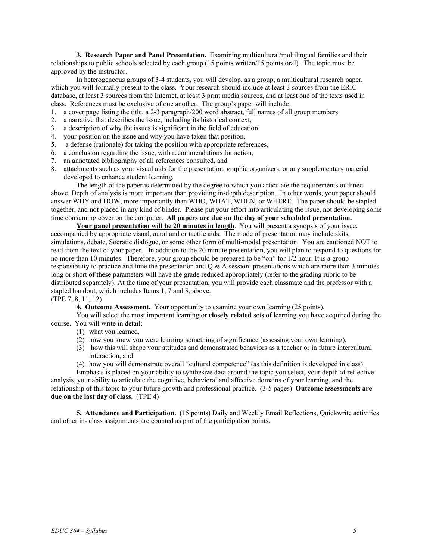**3. Research Paper and Panel Presentation.** Examining multicultural/multilingual families and their relationships to public schools selected by each group (15 points written/15 points oral). The topic must be approved by the instructor.

In heterogeneous groups of 3-4 students, you will develop, as a group, a multicultural research paper, which you will formally present to the class. Your research should include at least 3 sources from the ERIC database, at least 3 sources from the Internet, at least 3 print media sources, and at least one of the texts used in class. References must be exclusive of one another. The group's paper will include:

- 1. a cover page listing the title, a 2-3 paragraph/200 word abstract, full names of all group members
- 2. a narrative that describes the issue, including its historical context,
- 3. a description of why the issues is significant in the field of education,
- 4. your position on the issue and why you have taken that position,
- 5. a defense (rationale) for taking the position with appropriate references,
- 6. a conclusion regarding the issue, with recommendations for action,
- 7. an annotated bibliography of all references consulted, and
- 8. attachments such as your visual aids for the presentation, graphic organizers, or any supplementary material developed to enhance student learning.

The length of the paper is determined by the degree to which you articulate the requirements outlined above. Depth of analysis is more important than providing in-depth description. In other words, your paper should answer WHY and HOW, more importantly than WHO, WHAT, WHEN, or WHERE. The paper should be stapled together, and not placed in any kind of binder. Please put your effort into articulating the issue, not developing some time consuming cover on the computer. **All papers are due on the day of your scheduled presentation.** 

**Your panel presentation will be 20 minutes in length**. You will present a synopsis of your issue, accompanied by appropriate visual, aural and or tactile aids. The mode of presentation may include skits, simulations, debate, Socratic dialogue, or some other form of multi-modal presentation. You are cautioned NOT to read from the text of your paper. In addition to the 20 minute presentation, you will plan to respond to questions for no more than 10 minutes. Therefore, your group should be prepared to be "on" for 1/2 hour. It is a group responsibility to practice and time the presentation and Q & A session: presentations which are more than 3 minutes long or short of these parameters will have the grade reduced appropriately (refer to the grading rubric to be distributed separately). At the time of your presentation, you will provide each classmate and the professor with a stapled handout, which includes Items 1, 7 and 8, above.

(TPE 7, 8, 11, 12)

**4. Outcome Assessment.** Your opportunity to examine your own learning (25 points).

You will select the most important learning or **closely related** sets of learning you have acquired during the course. You will write in detail:

- (1) what you learned,
- (2) how you knew you were learning something of significance (assessing your own learning),
- (3) how this will shape your attitudes and demonstrated behaviors as a teacher or in future intercultural interaction, and

(4) how you will demonstrate overall "cultural competence" (as this definition is developed in class)

Emphasis is placed on your ability to synthesize data around the topic you select, your depth of reflective analysis, your ability to articulate the cognitive, behavioral and affective domains of your learning, and the relationship of this topic to your future growth and professional practice. (3-5 pages) **Outcome assessments are due on the last day of class**. (TPE 4)

**5. Attendance and Participation.** (15 points) Daily and Weekly Email Reflections, Quickwrite activities and other in- class assignments are counted as part of the participation points.